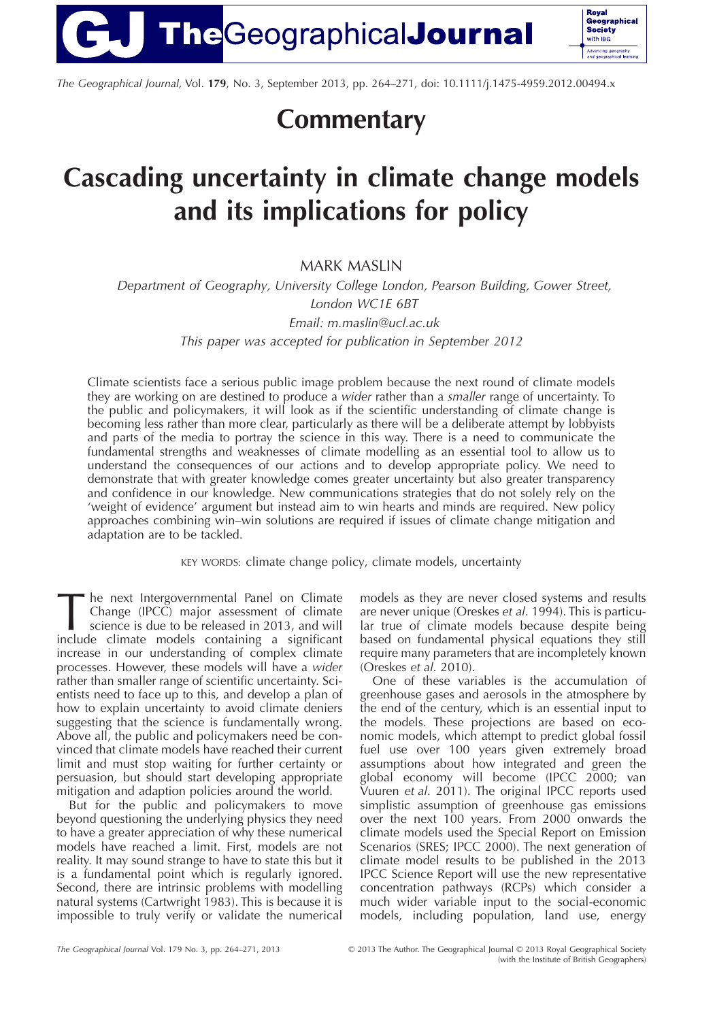The Geographical Journal bs\_bs\_banner



*The Geographical Journal,* Vol. **179**, No. 3, September 2013, pp. 264–271, doi: 10.1111/j.1475-4959.2012.00494.x

# **Commentary**

# **Cascading uncertainty in climate change models and its implications for policy**

## MARK MASLIN

*Department of Geography, University College London, Pearson Building, Gower Street, London WC1E 6BT Email: m.maslin@ucl.ac.uk This paper was accepted for publication in September 2012*

Climate scientists face a serious public image problem because the next round of climate models they are working on are destined to produce a *wider* rather than a *smaller* range of uncertainty. To the public and policymakers, it will look as if the scientific understanding of climate change is becoming less rather than more clear, particularly as there will be a deliberate attempt by lobbyists and parts of the media to portray the science in this way. There is a need to communicate the fundamental strengths and weaknesses of climate modelling as an essential tool to allow us to understand the consequences of our actions and to develop appropriate policy. We need to demonstrate that with greater knowledge comes greater uncertainty but also greater transparency and confidence in our knowledge. New communications strategies that do not solely rely on the 'weight of evidence' argument but instead aim to win hearts and minds are required. New policy approaches combining win–win solutions are required if issues of climate change mitigation and adaptation are to be tackled.

KEY WORDS: climate change policy, climate models, uncertainty

The next Intergovernmental Panel on Climate<br>Change (IPCC) major assessment of climate<br>science is due to be released in 2013, and will<br>include climate models containing a significant Change  $(IPC\tilde{C})$  major assessment of climate science is due to be released in 2013, and will increase in our understanding of complex climate processes. However, these models will have a *wider* rather than smaller range of scientific uncertainty. Scientists need to face up to this, and develop a plan of how to explain uncertainty to avoid climate deniers suggesting that the science is fundamentally wrong. Above all, the public and policymakers need be convinced that climate models have reached their current limit and must stop waiting for further certainty or persuasion, but should start developing appropriate mitigation and adaption policies around the world.

But for the public and policymakers to move beyond questioning the underlying physics they need to have a greater appreciation of why these numerical models have reached a limit. First, models are not reality. It may sound strange to have to state this but it is a fundamental point which is regularly ignored. Second, there are intrinsic problems with modelling natural systems (Cartwright 1983). This is because it is impossible to truly verify or validate the numerical

models as they are never closed systems and results are never unique (Oreskes *et al*. 1994). This is particular true of climate models because despite being based on fundamental physical equations they still require many parameters that are incompletely known (Oreskes *et al*. 2010).

One of these variables is the accumulation of greenhouse gases and aerosols in the atmosphere by the end of the century, which is an essential input to the models. These projections are based on economic models, which attempt to predict global fossil fuel use over 100 years given extremely broad assumptions about how integrated and green the global economy will become (IPCC 2000; van Vuuren *et al*. 2011). The original IPCC reports used simplistic assumption of greenhouse gas emissions over the next 100 years. From 2000 onwards the climate models used the Special Report on Emission Scenarios (SRES; IPCC 2000). The next generation of climate model results to be published in the 2013 IPCC Science Report will use the new representative concentration pathways (RCPs) which consider a much wider variable input to the social-economic models, including population, land use, energy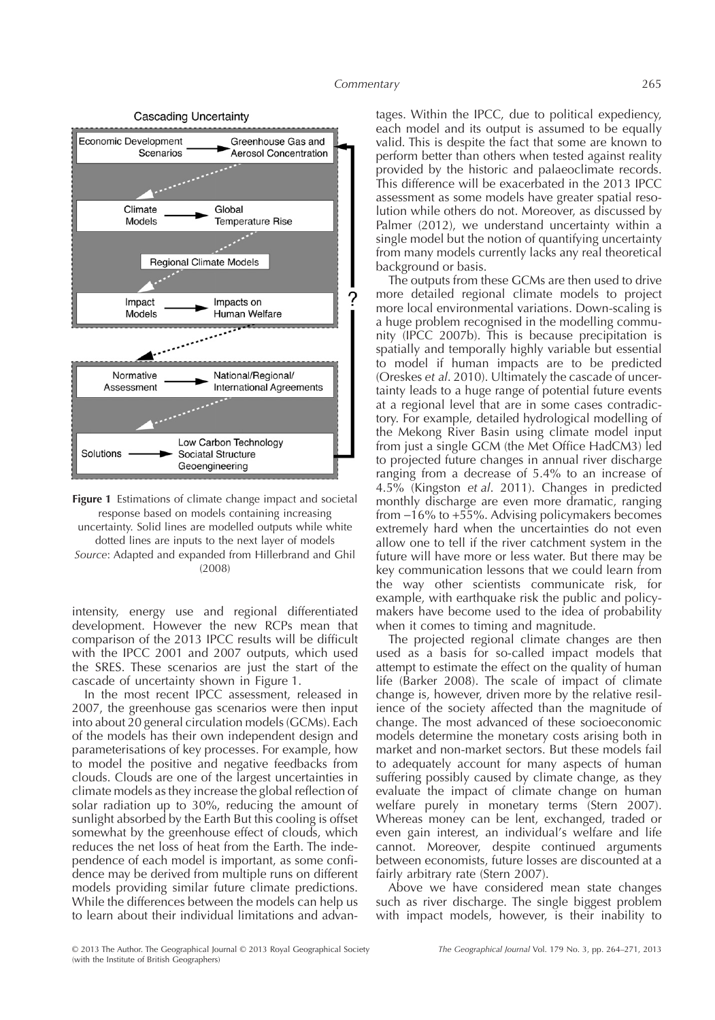



intensity, energy use and regional differentiated development. However the new RCPs mean that comparison of the 2013 IPCC results will be difficult with the IPCC 2001 and 2007 outputs, which used the SRES. These scenarios are just the start of the cascade of uncertainty shown in Figure 1.

In the most recent IPCC assessment, released in 2007, the greenhouse gas scenarios were then input into about 20 general circulation models (GCMs). Each of the models has their own independent design and parameterisations of key processes. For example, how to model the positive and negative feedbacks from clouds. Clouds are one of the largest uncertainties in climate models as they increase the global reflection of solar radiation up to 30%, reducing the amount of sunlight absorbed by the Earth But this cooling is offset somewhat by the greenhouse effect of clouds, which reduces the net loss of heat from the Earth. The independence of each model is important, as some confidence may be derived from multiple runs on different models providing similar future climate predictions. While the differences between the models can help us to learn about their individual limitations and advantages. Within the IPCC, due to political expediency, each model and its output is assumed to be equally valid. This is despite the fact that some are known to perform better than others when tested against reality provided by the historic and palaeoclimate records. This difference will be exacerbated in the 2013 IPCC assessment as some models have greater spatial resolution while others do not. Moreover, as discussed by Palmer (2012), we understand uncertainty within a single model but the notion of quantifying uncertainty from many models currently lacks any real theoretical background or basis.

The outputs from these GCMs are then used to drive more detailed regional climate models to project more local environmental variations. Down-scaling is a huge problem recognised in the modelling community (IPCC 2007b). This is because precipitation is spatially and temporally highly variable but essential to model if human impacts are to be predicted (Oreskes *et al*. 2010). Ultimately the cascade of uncertainty leads to a huge range of potential future events at a regional level that are in some cases contradictory. For example, detailed hydrological modelling of the Mekong River Basin using climate model input from just a single GCM (the Met Office HadCM3) led to projected future changes in annual river discharge ranging from a decrease of 5.4% to an increase of 4.5% (Kingston *et al*. 2011). Changes in predicted monthly discharge are even more dramatic, ranging from  $-16\%$  to  $+55\%$ . Advising policymakers becomes extremely hard when the uncertainties do not even allow one to tell if the river catchment system in the future will have more or less water. But there may be key communication lessons that we could learn from the way other scientists communicate risk, for example, with earthquake risk the public and policymakers have become used to the idea of probability when it comes to timing and magnitude.

The projected regional climate changes are then used as a basis for so-called impact models that attempt to estimate the effect on the quality of human life (Barker 2008). The scale of impact of climate change is, however, driven more by the relative resilience of the society affected than the magnitude of change. The most advanced of these socioeconomic models determine the monetary costs arising both in market and non-market sectors. But these models fail to adequately account for many aspects of human suffering possibly caused by climate change, as they evaluate the impact of climate change on human welfare purely in monetary terms (Stern 2007). Whereas money can be lent, exchanged, traded or even gain interest, an individual's welfare and life cannot. Moreover, despite continued arguments between economists, future losses are discounted at a fairly arbitrary rate (Stern 2007).

Above we have considered mean state changes such as river discharge. The single biggest problem with impact models, however, is their inability to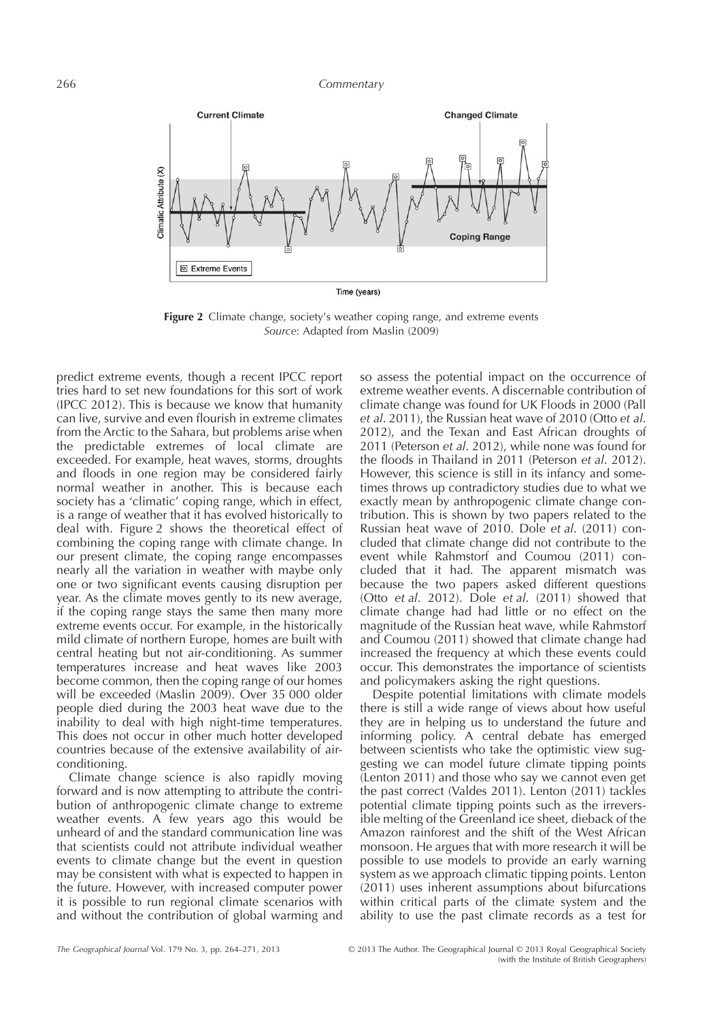

Figure 2 Climate change, society's weather coping range, and extreme events *Source*: Adapted from Maslin (2009)

predict extreme events, though a recent IPCC report tries hard to set new foundations for this sort of work (IPCC 2012). This is because we know that humanity can live, survive and even flourish in extreme climates from the Arctic to the Sahara, but problems arise when the predictable extremes of local climate are exceeded. For example, heat waves, storms, droughts and floods in one region may be considered fairly normal weather in another. This is because each society has a 'climatic' coping range, which in effect, is a range of weather that it has evolved historically to deal with. Figure 2 shows the theoretical effect of combining the coping range with climate change. In our present climate, the coping range encompasses nearly all the variation in weather with maybe only one or two significant events causing disruption per year. As the climate moves gently to its new average, if the coping range stays the same then many more extreme events occur. For example, in the historically mild climate of northern Europe, homes are built with central heating but not air-conditioning. As summer temperatures increase and heat waves like 2003 become common, then the coping range of our homes will be exceeded (Maslin 2009). Over 35 000 older people died during the 2003 heat wave due to the inability to deal with high night-time temperatures. This does not occur in other much hotter developed countries because of the extensive availability of airconditioning.

Climate change science is also rapidly moving forward and is now attempting to attribute the contribution of anthropogenic climate change to extreme weather events. A few years ago this would be unheard of and the standard communication line was that scientists could not attribute individual weather events to climate change but the event in question may be consistent with what is expected to happen in the future. However, with increased computer power it is possible to run regional climate scenarios with and without the contribution of global warming and

so assess the potential impact on the occurrence of extreme weather events. A discernable contribution of climate change was found for UK Floods in 2000 (Pall *et al*. 2011), the Russian heat wave of 2010 (Otto *et al*. 2012), and the Texan and East African droughts of 2011 (Peterson *et al*. 2012), while none was found for the floods in Thailand in 2011 (Peterson *et al*. 2012). However, this science is still in its infancy and sometimes throws up contradictory studies due to what we exactly mean by anthropogenic climate change contribution. This is shown by two papers related to the Russian heat wave of 2010. Dole *et al*. (2011) concluded that climate change did not contribute to the event while Rahmstorf and Coumou (2011) concluded that it had. The apparent mismatch was because the two papers asked different questions (Otto *et al*. 2012). Dole *et al*. (2011) showed that climate change had had little or no effect on the magnitude of the Russian heat wave, while Rahmstorf and Coumou (2011) showed that climate change had increased the frequency at which these events could occur. This demonstrates the importance of scientists and policymakers asking the right questions.

Despite potential limitations with climate models there is still a wide range of views about how useful they are in helping us to understand the future and informing policy. A central debate has emerged between scientists who take the optimistic view suggesting we can model future climate tipping points (Lenton 2011) and those who say we cannot even get the past correct (Valdes 2011). Lenton (2011) tackles potential climate tipping points such as the irreversible melting of the Greenland ice sheet, dieback of the Amazon rainforest and the shift of the West African monsoon. He argues that with more research it will be possible to use models to provide an early warning system as we approach climatic tipping points. Lenton (2011) uses inherent assumptions about bifurcations within critical parts of the climate system and the ability to use the past climate records as a test for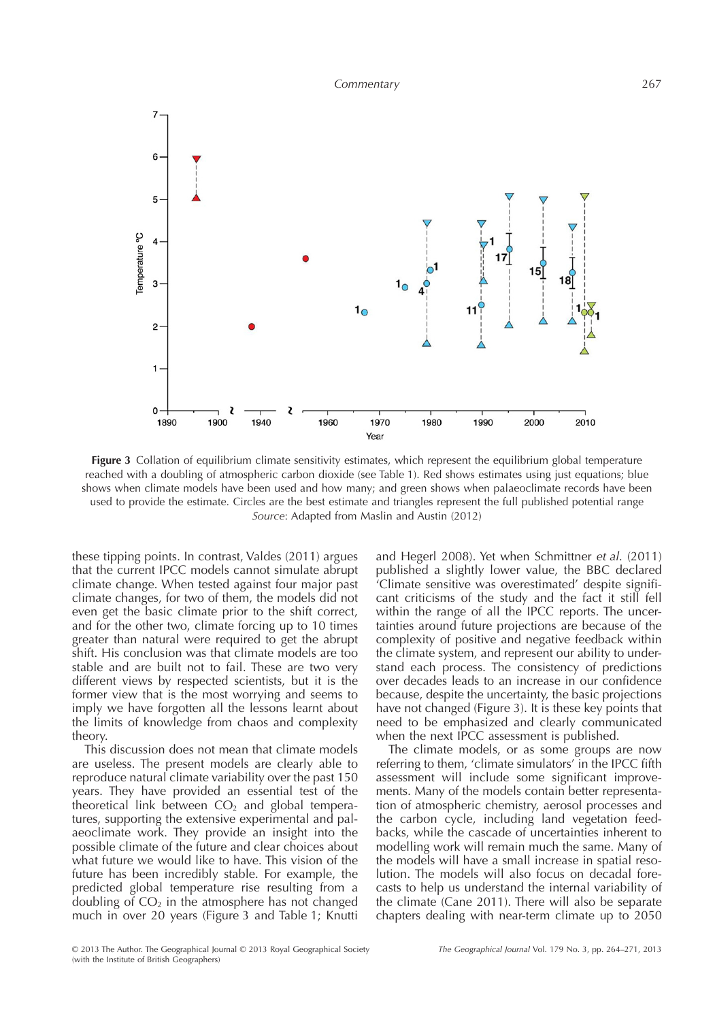

**Figure 3** Collation of equilibrium climate sensitivity estimates, which represent the equilibrium global temperature reached with a doubling of atmospheric carbon dioxide (see Table 1). Red shows estimates using just equations; blue shows when climate models have been used and how many; and green shows when palaeoclimate records have been used to provide the estimate. Circles are the best estimate and triangles represent the full published potential range *Source*: Adapted from Maslin and Austin (2012)

these tipping points. In contrast, Valdes (2011) argues that the current IPCC models cannot simulate abrupt climate change. When tested against four major past climate changes, for two of them, the models did not even get the basic climate prior to the shift correct, and for the other two, climate forcing up to 10 times greater than natural were required to get the abrupt shift. His conclusion was that climate models are too stable and are built not to fail. These are two very different views by respected scientists, but it is the former view that is the most worrying and seems to imply we have forgotten all the lessons learnt about the limits of knowledge from chaos and complexity theory.

This discussion does not mean that climate models are useless. The present models are clearly able to reproduce natural climate variability over the past 150 years. They have provided an essential test of the theoretical link between  $CO<sub>2</sub>$  and global temperatures, supporting the extensive experimental and palaeoclimate work. They provide an insight into the possible climate of the future and clear choices about what future we would like to have. This vision of the future has been incredibly stable. For example, the predicted global temperature rise resulting from a doubling of  $CO<sub>2</sub>$  in the atmosphere has not changed much in over 20 years (Figure 3 and Table 1; Knutti and Hegerl 2008). Yet when Schmittner *et al*. (2011) published a slightly lower value, the BBC declared 'Climate sensitive was overestimated' despite significant criticisms of the study and the fact it still fell within the range of all the IPCC reports. The uncertainties around future projections are because of the complexity of positive and negative feedback within the climate system, and represent our ability to understand each process. The consistency of predictions over decades leads to an increase in our confidence because, despite the uncertainty, the basic projections have not changed (Figure 3). It is these key points that need to be emphasized and clearly communicated when the next IPCC assessment is published.

The climate models, or as some groups are now referring to them, 'climate simulators' in the IPCC fifth assessment will include some significant improvements. Many of the models contain better representation of atmospheric chemistry, aerosol processes and the carbon cycle, including land vegetation feedbacks, while the cascade of uncertainties inherent to modelling work will remain much the same. Many of the models will have a small increase in spatial resolution. The models will also focus on decadal forecasts to help us understand the internal variability of the climate (Cane 2011). There will also be separate chapters dealing with near-term climate up to 2050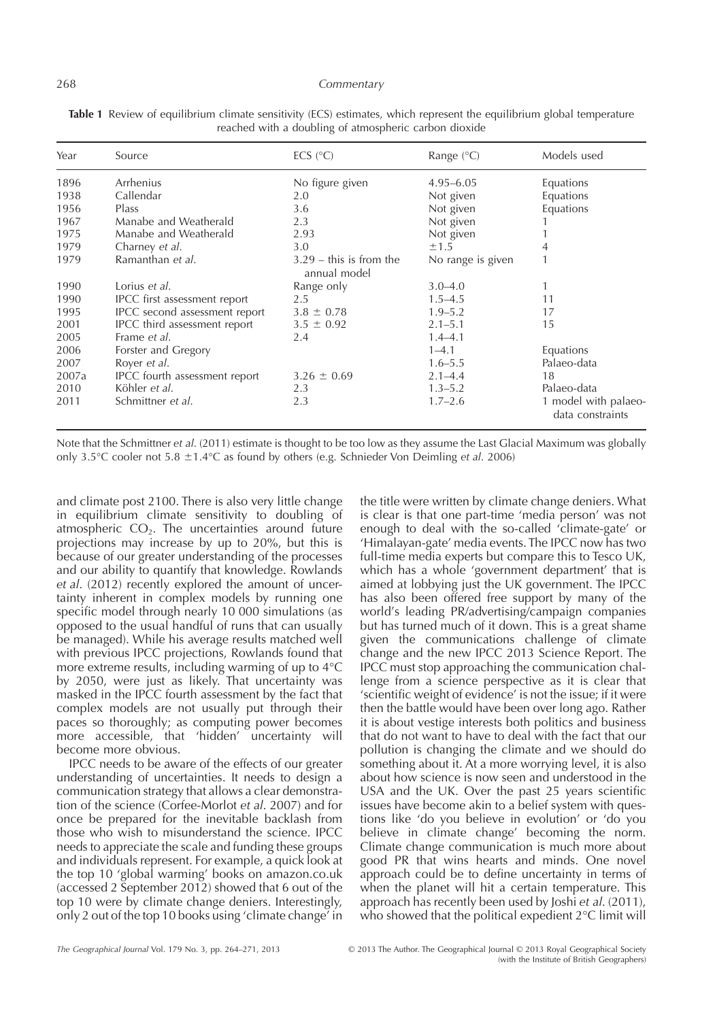#### 268 *Commentary*

| Year  | Source                        | ECS $(^{\circ}C)$                         | Range $(^{\circ}C)$ | Models used                              |
|-------|-------------------------------|-------------------------------------------|---------------------|------------------------------------------|
| 1896  | Arrhenius                     | No figure given                           | $4.95 - 6.05$       | Equations                                |
| 1938  | Callendar                     | 2.0                                       | Not given           | Equations                                |
| 1956  | Plass                         | 3.6                                       | Not given           | Equations                                |
| 1967  | Manabe and Weatherald         | 2.3                                       | Not given           |                                          |
| 1975  | Manabe and Weatherald         | 2.93                                      | Not given           |                                          |
| 1979  | Charney et al.                | 3.0                                       | ±1.5                | 4                                        |
| 1979  | Ramanthan et al.              | $3.29$ – this is from the<br>annual model | No range is given   |                                          |
| 1990  | Lorius et al.                 | Range only                                | $3.0 - 4.0$         |                                          |
| 1990  | IPCC first assessment report  | 2.5                                       | $1.5 - 4.5$         | 11                                       |
| 1995  | IPCC second assessment report | $3.8 \pm 0.78$                            | $1.9 - 5.2$         | 17                                       |
| 2001  | IPCC third assessment report  | $3.5 \pm 0.92$                            | $2.1 - 5.1$         | 15                                       |
| 2005  | Frame <i>et al</i> .          | 2.4                                       | $1.4 - 4.1$         |                                          |
| 2006  | Forster and Gregory           |                                           | $1 - 4.1$           | Equations                                |
| 2007  | Royer <i>et al</i> .          |                                           | $1.6 - 5.5$         | Palaeo-data                              |
| 2007a | IPCC fourth assessment report | $3.26 \pm 0.69$                           | $2.1 - 4.4$         | 18                                       |
| 2010  | Köhler et al.                 | 2.3                                       | $1.3 - 5.2$         | Palaeo-data                              |
| 2011  | Schmittner et al.             | 2.3                                       | $1.7 - 2.6$         | 1 model with palaeo-<br>data constraints |

**Table 1** Review of equilibrium climate sensitivity (ECS) estimates, which represent the equilibrium global temperature reached with a doubling of atmospheric carbon dioxide

Note that the Schmittner *et al*. (2011) estimate is thought to be too low as they assume the Last Glacial Maximum was globally only 3.5°C cooler not 5.8  $\pm$ 1.4°C as found by others (e.g. Schnieder Von Deimling *et al.* 2006)

and climate post 2100. There is also very little change in equilibrium climate sensitivity to doubling of atmospheric  $CO<sub>2</sub>$ . The uncertainties around future projections may increase by up to 20%, but this is because of our greater understanding of the processes and our ability to quantify that knowledge. Rowlands *et al*. (2012) recently explored the amount of uncertainty inherent in complex models by running one specific model through nearly 10 000 simulations (as opposed to the usual handful of runs that can usually be managed). While his average results matched well with previous IPCC projections, Rowlands found that more extreme results, including warming of up to 4°C by 2050, were just as likely. That uncertainty was masked in the IPCC fourth assessment by the fact that complex models are not usually put through their paces so thoroughly; as computing power becomes more accessible, that 'hidden' uncertainty will become more obvious.

IPCC needs to be aware of the effects of our greater understanding of uncertainties. It needs to design a communication strategy that allows a clear demonstration of the science (Corfee-Morlot *et al*. 2007) and for once be prepared for the inevitable backlash from those who wish to misunderstand the science. IPCC needs to appreciate the scale and funding these groups and individuals represent. For example, a quick look at the top 10 'global warming' books on amazon.co.uk (accessed 2 September 2012) showed that 6 out of the top 10 were by climate change deniers. Interestingly, only 2 out of the top 10 books using 'climate change' in the title were written by climate change deniers. What is clear is that one part-time 'media person' was not enough to deal with the so-called 'climate-gate' or 'Himalayan-gate' media events. The IPCC now has two full-time media experts but compare this to Tesco UK, which has a whole 'government department' that is aimed at lobbying just the UK government. The IPCC has also been offered free support by many of the world's leading PR/advertising/campaign companies but has turned much of it down. This is a great shame given the communications challenge of climate change and the new IPCC 2013 Science Report. The IPCC must stop approaching the communication challenge from a science perspective as it is clear that 'scientific weight of evidence' is not the issue; if it were then the battle would have been over long ago. Rather it is about vestige interests both politics and business that do not want to have to deal with the fact that our pollution is changing the climate and we should do something about it. At a more worrying level, it is also about how science is now seen and understood in the USA and the UK. Over the past 25 years scientific issues have become akin to a belief system with questions like 'do you believe in evolution' or 'do you believe in climate change' becoming the norm. Climate change communication is much more about good PR that wins hearts and minds. One novel approach could be to define uncertainty in terms of when the planet will hit a certain temperature. This approach has recently been used by Joshi *et al*. (2011), who showed that the political expedient 2°C limit will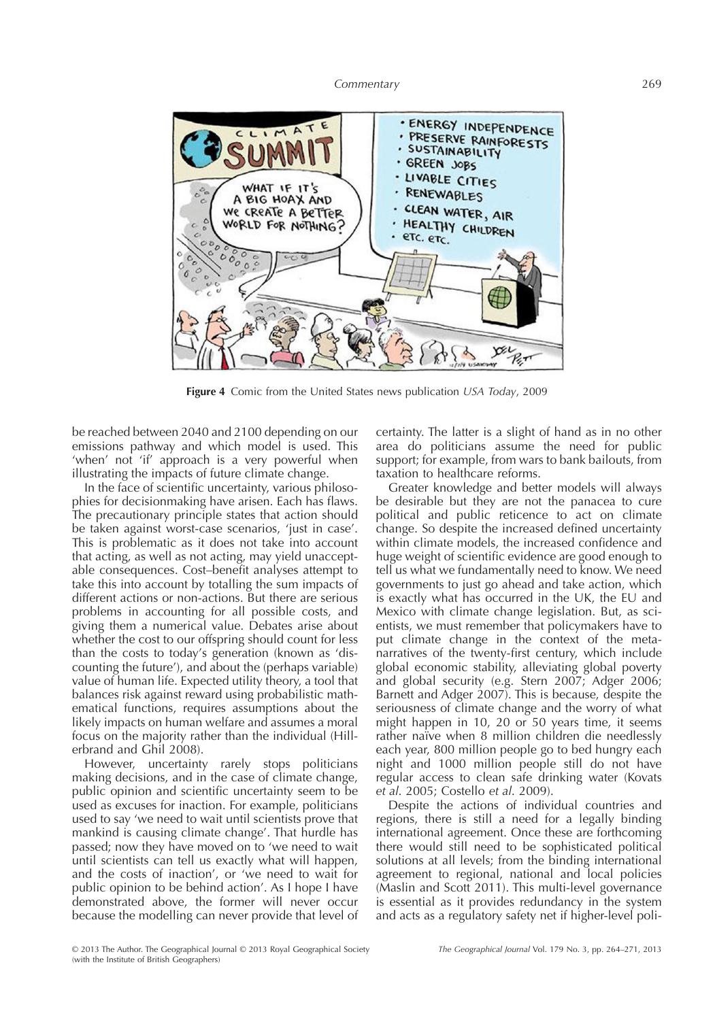*Commentary* 269



**Figure 4** Comic from the United States news publication *USA Today*, 2009

be reached between 2040 and 2100 depending on our emissions pathway and which model is used. This 'when' not 'if' approach is a very powerful when illustrating the impacts of future climate change.

In the face of scientific uncertainty, various philosophies for decisionmaking have arisen. Each has flaws. The precautionary principle states that action should be taken against worst-case scenarios, 'just in case'. This is problematic as it does not take into account that acting, as well as not acting, may yield unacceptable consequences. Cost–benefit analyses attempt to take this into account by totalling the sum impacts of different actions or non-actions. But there are serious problems in accounting for all possible costs, and giving them a numerical value. Debates arise about whether the cost to our offspring should count for less than the costs to today's generation (known as 'discounting the future'), and about the (perhaps variable) value of human life. Expected utility theory, a tool that balances risk against reward using probabilistic mathematical functions, requires assumptions about the likely impacts on human welfare and assumes a moral focus on the majority rather than the individual (Hillerbrand and Ghil 2008).

However, uncertainty rarely stops politicians making decisions, and in the case of climate change, public opinion and scientific uncertainty seem to be used as excuses for inaction. For example, politicians used to say 'we need to wait until scientists prove that mankind is causing climate change'. That hurdle has passed; now they have moved on to 'we need to wait until scientists can tell us exactly what will happen, and the costs of inaction', or 'we need to wait for public opinion to be behind action'. As I hope I have demonstrated above, the former will never occur because the modelling can never provide that level of

certainty. The latter is a slight of hand as in no other area do politicians assume the need for public support; for example, from wars to bank bailouts, from taxation to healthcare reforms.

Greater knowledge and better models will always be desirable but they are not the panacea to cure political and public reticence to act on climate change. So despite the increased defined uncertainty within climate models, the increased confidence and huge weight of scientific evidence are good enough to tell us what we fundamentally need to know. We need governments to just go ahead and take action, which is exactly what has occurred in the UK, the EU and Mexico with climate change legislation. But, as scientists, we must remember that policymakers have to put climate change in the context of the metanarratives of the twenty-first century, which include global economic stability, alleviating global poverty and global security (e.g. Stern 2007; Adger 2006; Barnett and Adger 2007). This is because, despite the seriousness of climate change and the worry of what might happen in 10, 20 or 50 years time, it seems rather naïve when 8 million children die needlessly each year, 800 million people go to bed hungry each night and 1000 million people still do not have regular access to clean safe drinking water (Kovats *et al*. 2005; Costello *et al*. 2009).

Despite the actions of individual countries and regions, there is still a need for a legally binding international agreement. Once these are forthcoming there would still need to be sophisticated political solutions at all levels; from the binding international agreement to regional, national and local policies (Maslin and Scott 2011). This multi-level governance is essential as it provides redundancy in the system and acts as a regulatory safety net if higher-level poli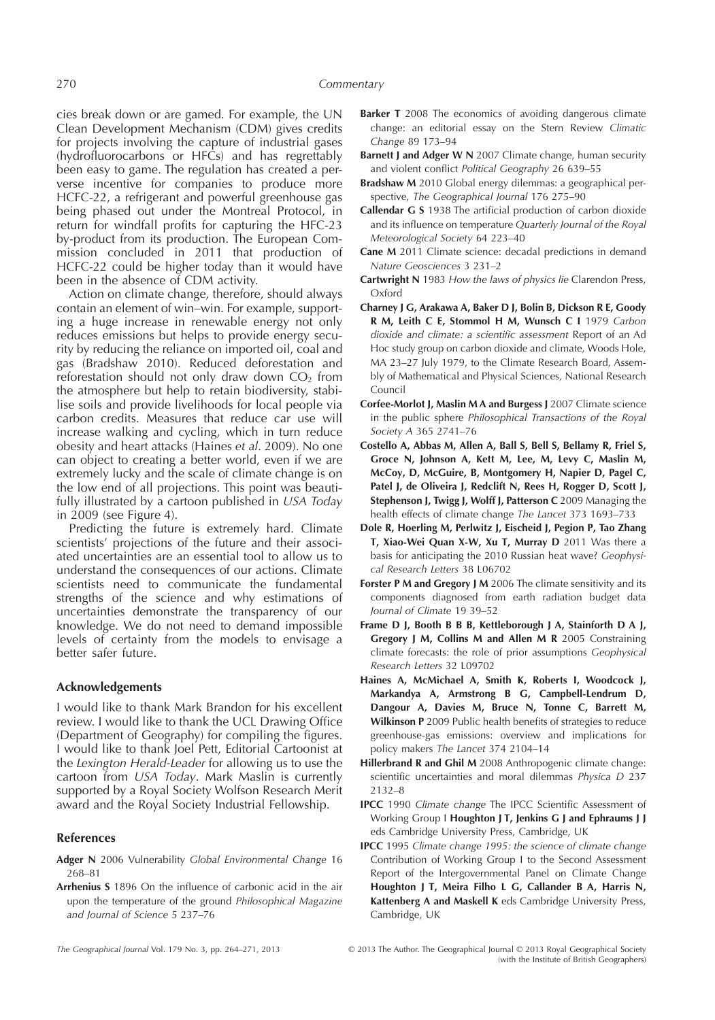cies break down or are gamed. For example, the UN Clean Development Mechanism (CDM) gives credits for projects involving the capture of industrial gases (hydrofluorocarbons or HFCs) and has regrettably been easy to game. The regulation has created a perverse incentive for companies to produce more HCFC-22, a refrigerant and powerful greenhouse gas being phased out under the Montreal Protocol, in return for windfall profits for capturing the HFC-23 by-product from its production. The European Commission concluded in 2011 that production of HCFC-22 could be higher today than it would have been in the absence of CDM activity.

Action on climate change, therefore, should always contain an element of win–win. For example, supporting a huge increase in renewable energy not only reduces emissions but helps to provide energy security by reducing the reliance on imported oil, coal and gas (Bradshaw 2010). Reduced deforestation and reforestation should not only draw down  $CO<sub>2</sub>$  from the atmosphere but help to retain biodiversity, stabilise soils and provide livelihoods for local people via carbon credits. Measures that reduce car use will increase walking and cycling, which in turn reduce obesity and heart attacks (Haines *et al*. 2009). No one can object to creating a better world, even if we are extremely lucky and the scale of climate change is on the low end of all projections. This point was beautifully illustrated by a cartoon published in *USA Today* in 2009 (see Figure 4).

Predicting the future is extremely hard. Climate scientists' projections of the future and their associated uncertainties are an essential tool to allow us to understand the consequences of our actions. Climate scientists need to communicate the fundamental strengths of the science and why estimations of uncertainties demonstrate the transparency of our knowledge. We do not need to demand impossible levels of certainty from the models to envisage a better safer future.

### **Acknowledgements**

I would like to thank Mark Brandon for his excellent review. I would like to thank the UCL Drawing Office (Department of Geography) for compiling the figures. I would like to thank Joel Pett, Editorial Cartoonist at the *Lexington Herald-Leader* for allowing us to use the cartoon from *USA Today*. Mark Maslin is currently supported by a Royal Society Wolfson Research Merit award and the Royal Society Industrial Fellowship.

### **References**

- **Adger N** 2006 Vulnerability *Global Environmental Change* 16 268–81
- **Arrhenius S** 1896 On the influence of carbonic acid in the air upon the temperature of the ground *Philosophical Magazine and Journal of Science* 5 237–76
- **Barker T** 2008 The economics of avoiding dangerous climate change: an editorial essay on the Stern Review *Climatic Change* 89 173–94
- **Barnett J and Adger W N** 2007 Climate change, human security and violent conflict *Political Geography* 26 639–55
- **Bradshaw M** 2010 Global energy dilemmas: a geographical perspective, *The Geographical Journal* 176 275–90
- **Callendar G S** 1938 The artificial production of carbon dioxide and its influence on temperature *Quarterly Journal of the Royal Meteorological Society* 64 223–40
- **Cane M** 2011 Climate science: decadal predictions in demand *Nature Geosciences* 3 231–2
- **Cartwright N** 1983 *How the laws of physics lie* Clarendon Press, Oxford
- **Charney J G, Arakawa A, Baker D J, Bolin B, Dickson R E, Goody R M, Leith C E, Stommol H M, Wunsch C I** 1979 *Carbon dioxide and climate: a scientific assessment* Report of an Ad Hoc study group on carbon dioxide and climate, Woods Hole, MA 23–27 July 1979, to the Climate Research Board, Assembly of Mathematical and Physical Sciences, National Research Council
- **Corfee-Morlot J, Maslin M A and Burgess J** 2007 Climate science in the public sphere *Philosophical Transactions of the Royal Society A* 365 2741–76
- **Costello A, Abbas M, Allen A, Ball S, Bell S, Bellamy R, Friel S, Groce N, Johnson A, Kett M, Lee, M, Levy C, Maslin M, McCoy, D, McGuire, B, Montgomery H, Napier D, Pagel C, Patel J, de Oliveira J, Redclift N, Rees H, Rogger D, Scott J, Stephenson J, Twigg J, Wolff J, Patterson C** 2009 Managing the health effects of climate change *The Lancet* 373 1693–733
- **Dole R, Hoerling M, Perlwitz J, Eischeid J, Pegion P, Tao Zhang T, Xiao-Wei Quan X-W, Xu T, Murray D** 2011 Was there a basis for anticipating the 2010 Russian heat wave? *Geophysical Research Letters* 38 L06702
- **Forster P M and Gregory J M** 2006 The climate sensitivity and its components diagnosed from earth radiation budget data *Journal of Climate* 19 39–52
- **Frame D J, Booth B B B, Kettleborough J A, Stainforth D A J, Gregory J M, Collins M and Allen M R** 2005 Constraining climate forecasts: the role of prior assumptions *Geophysical Research Letters* 32 L09702
- **Haines A, McMichael A, Smith K, Roberts I, Woodcock J, Markandya A, Armstrong B G, Campbell-Lendrum D, Dangour A, Davies M, Bruce N, Tonne C, Barrett M, Wilkinson P** 2009 Public health benefits of strategies to reduce greenhouse-gas emissions: overview and implications for policy makers *The Lancet* 374 2104–14
- **Hillerbrand R and Ghil M** 2008 Anthropogenic climate change: scientific uncertainties and moral dilemmas *Physica D* 237 2132–8
- **IPCC** 1990 *Climate change* The IPCC Scientific Assessment of Working Group I **Houghton J T, Jenkins G J and Ephraums J J** eds Cambridge University Press, Cambridge, UK
- **IPCC** 1995 *Climate change 1995: the science of climate change* Contribution of Working Group I to the Second Assessment Report of the Intergovernmental Panel on Climate Change **Houghton J T, Meira Filho L G, Callander B A, Harris N, Kattenberg A and Maskell K** eds Cambridge University Press, Cambridge, UK